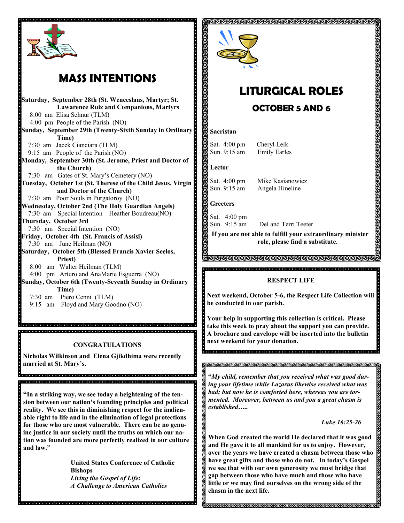

## **MASS INTENTIONS**

**Saturday, September 28th (St. Wenceslaus, Martyr; St. Lawarence Ruiz and Companions, Martyrs** 8:00 am Elisa Schnur (TLM) 4:00 pm People of the Parish (NO) **Sunday, September 29th (Twenty-Sixth Sunday in Ordinary Time)** 7:30 am Jacek Cianciara (TLM) 9:15 am People of the Parish (NO) **Monday, September 30th (St. Jerome, Priest and Doctor of the Church)** 7:30 am Gates of St. Mary's Cemetery (NO) **Tuesday, October 1st (St. Therese of the Child Jesus, Virgin and Doctor of the Church)** 7:30 am Poor Souls in Purgatoroy (NO) **Wednesday, October 2nd (The Holy Guardian Angels)**  7:30 am Special Intention—Heather Boudreau(NO) **Thursday, October 3rd** 7:30 am Special Intention (NO) **Friday, October 4th (St. Francis of Assisi)** 7:30 am June Heilman (NO) **Saturday, October 5th (Blessed Francis Xavier Seelos, Priest)** 8:00 am Walter Heilman (TLM) 4:00 pm Arturo and AnaMarie Esguerra (NO) **Sunday, October 6th (Twenty-Seventh Sunday in Ordinary Time)**  7:30 am Piero Cenni (TLM) 9:15 am Floyd and Mary Goodno (NO)

#### **CONGRATULATIONS**

**Nicholas Wilkinson and Elena Gjikdhima were recently married at St. Mary's.**

.<br>Informato de la ciencia de la ciencia de la ciencia de la ciencia de la ciencia de la ciencia de la ciencia de

**"In a striking way, we see today a heightening of the tension between our nation's founding principles and political reality. We see this in diminishing respect for the inalienable right to life and in the elimination of legal protections for those who are most vulnerable. There can be no genuine justice in our society until the truths on which our nation was founded are more perfectly realized in our culture and law."**

, de la delejada la dialejada de la dialejada de la dialejada la dialejada de la dialejada dialejada la dial

**United States Conference of Catholic Bishops** *Living the Gospel of Life: A Challenge to American Catholics*



. . . . . . . . . . .

# **LITURGICAL ROLES**

ଗଗଗଗଗଗଗଗଗଗଗଗଗଗଗଗଗଗଗଗଗଗଗଗଗଗଗ

## **OCTOBER 5 AND 6**

#### **Sacristan**

Sat. 4:00 pm Cheryl Leik Sun. 9:15 am Emily Earles

**Lector**

Sat. 4:00 pm Mike Kasianowicz Sun. 9:15 am Angela Hineline

#### **Greeters**

. . . . . . . . . . .

Sat. 4:00 pm Sun. 9:15 am

Del and Terri Teeter **If you are not able to fulfill your extraordinary minister** 

**role, please find a substitute.** 

#### <u> NNNNNNNNNNNNNNNNNNNNNNNNN</u>

#### **RESPECT LIFE**

**Next weekend, October 5-6, the Respect Life Collection will be conducted in our parish.**

**Your help in supporting this collection is critical. Please take this week to pray about the support you can provide. A brochure and envelope will be inserted into the bulletin next weekend for your donation.** 

s<br>Oscara de dia de de dia de de documento de dia de dia de dia de dia d

**"***My child, remember that you received what was good during your lifetime while Lazarus likewise received what was bad; but now he is comforted here, whereas you are tormented. Moreover, between us and you a great chasm is established…..*

 *Luke 16:25-26*

**When God created the world He declared that it was good and He gave it to all mankind for us to enjoy. However, over the years we have created a chasm between those who have great gifts and those who do not. In today's Gospel we see that with our own generosity we must bridge that gap between those who have much and those who have little or we may find ourselves on the wrong side of the chasm in the next life.** 

**INNNNNNNNNNNNNNN**